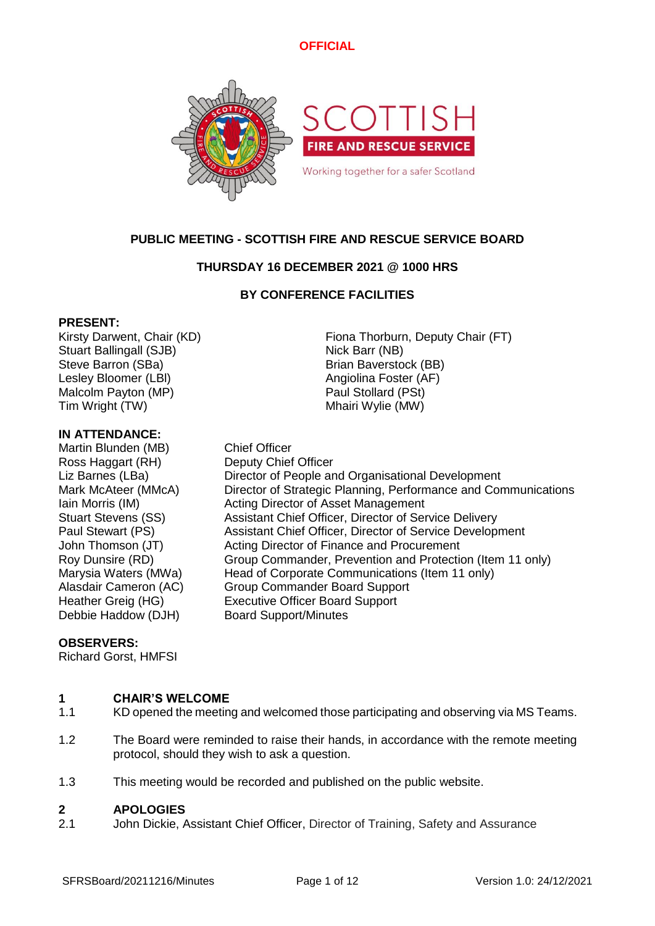

# **PUBLIC MEETING - SCOTTISH FIRE AND RESCUE SERVICE BOARD**

# **THURSDAY 16 DECEMBER 2021 @ 1000 HRS**

# **BY CONFERENCE FACILITIES**

### **PRESENT:**

Stuart Ballingall (SJB) Nick Barr (NB) Steve Barron (SBa) Brian Baverstock (BB) Lesley Bloomer (LBI) Angiolina Foster (AF) Malcolm Payton (MP) **Paul Stollard (PSt)** Tim Wright (TW) Tim Wright (TW)

### **IN ATTENDANCE:**

Martin Blunden (MB) Chief Officer Ross Haggart (RH) Deputy Chief Officer Debbie Haddow (DJH) Board Support/Minutes

Kirsty Darwent, Chair (KD) Fiona Thorburn, Deputy Chair (FT)

Liz Barnes (LBa) Director of People and Organisational Development Mark McAteer (MMcA) Director of Strategic Planning, Performance and Communications Iain Morris (IM) **Acting Director of Asset Management** Stuart Stevens (SS) Assistant Chief Officer, Director of Service Delivery Paul Stewart (PS) Assistant Chief Officer, Director of Service Development John Thomson (JT) Acting Director of Finance and Procurement Roy Dunsire (RD) Group Commander, Prevention and Protection (Item 11 only) Marysia Waters (MWa) Head of Corporate Communications (Item 11 only)<br>Alasdair Cameron (AC) Group Commander Board Support **Group Commander Board Support** Heather Greig (HG) Executive Officer Board Support

# **OBSERVERS:**

Richard Gorst, HMFSI

#### **1 CHAIR'S WELCOME**

- 1.1 KD opened the meeting and welcomed those participating and observing via MS Teams.
- 1.2 The Board were reminded to raise their hands, in accordance with the remote meeting protocol, should they wish to ask a question.
- 1.3 This meeting would be recorded and published on the public website.

#### **2 APOLOGIES**

2.1 John Dickie, Assistant Chief Officer, Director of Training, Safety and Assurance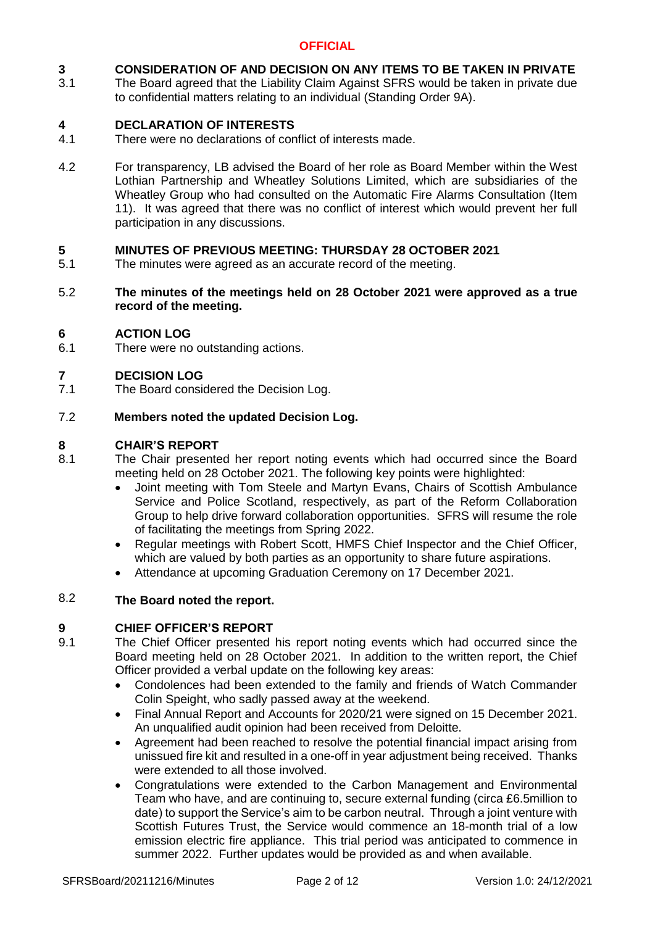#### **3 CONSIDERATION OF AND DECISION ON ANY ITEMS TO BE TAKEN IN PRIVATE**

3.1 The Board agreed that the Liability Claim Against SFRS would be taken in private due to confidential matters relating to an individual (Standing Order 9A).

#### **4 DECLARATION OF INTERESTS**

- 4.1 There were no declarations of conflict of interests made.
- 4.2 For transparency, LB advised the Board of her role as Board Member within the West Lothian Partnership and Wheatley Solutions Limited, which are subsidiaries of the Wheatley Group who had consulted on the Automatic Fire Alarms Consultation (Item 11). It was agreed that there was no conflict of interest which would prevent her full participation in any discussions.

### **5 MINUTES OF PREVIOUS MEETING: THURSDAY 28 OCTOBER 2021**

- 5.1 The minutes were agreed as an accurate record of the meeting.
- 5.2 **The minutes of the meetings held on 28 October 2021 were approved as a true record of the meeting.**

### **6 ACTION LOG**

6.1 There were no outstanding actions.

### **7 DECISION LOG**

7.1 The Board considered the Decision Log.

### 7.2 **Members noted the updated Decision Log.**

# **8 CHAIR'S REPORT**

- 8.1 The Chair presented her report noting events which had occurred since the Board meeting held on 28 October 2021. The following key points were highlighted:
	- Joint meeting with Tom Steele and Martyn Evans, Chairs of Scottish Ambulance Service and Police Scotland, respectively, as part of the Reform Collaboration Group to help drive forward collaboration opportunities. SFRS will resume the role of facilitating the meetings from Spring 2022.
	- Regular meetings with Robert Scott, HMFS Chief Inspector and the Chief Officer, which are valued by both parties as an opportunity to share future aspirations.
	- Attendance at upcoming Graduation Ceremony on 17 December 2021.

### 8.2 **The Board noted the report.**

# **9 CHIEF OFFICER'S REPORT**

- 9.1 The Chief Officer presented his report noting events which had occurred since the Board meeting held on 28 October 2021. In addition to the written report, the Chief Officer provided a verbal update on the following key areas:
	- Condolences had been extended to the family and friends of Watch Commander Colin Speight, who sadly passed away at the weekend.
	- Final Annual Report and Accounts for 2020/21 were signed on 15 December 2021. An unqualified audit opinion had been received from Deloitte.
	- Agreement had been reached to resolve the potential financial impact arising from unissued fire kit and resulted in a one-off in year adjustment being received. Thanks were extended to all those involved.
	- Congratulations were extended to the Carbon Management and Environmental Team who have, and are continuing to, secure external funding (circa £6.5million to date) to support the Service's aim to be carbon neutral. Through a joint venture with Scottish Futures Trust, the Service would commence an 18-month trial of a low emission electric fire appliance. This trial period was anticipated to commence in summer 2022. Further updates would be provided as and when available.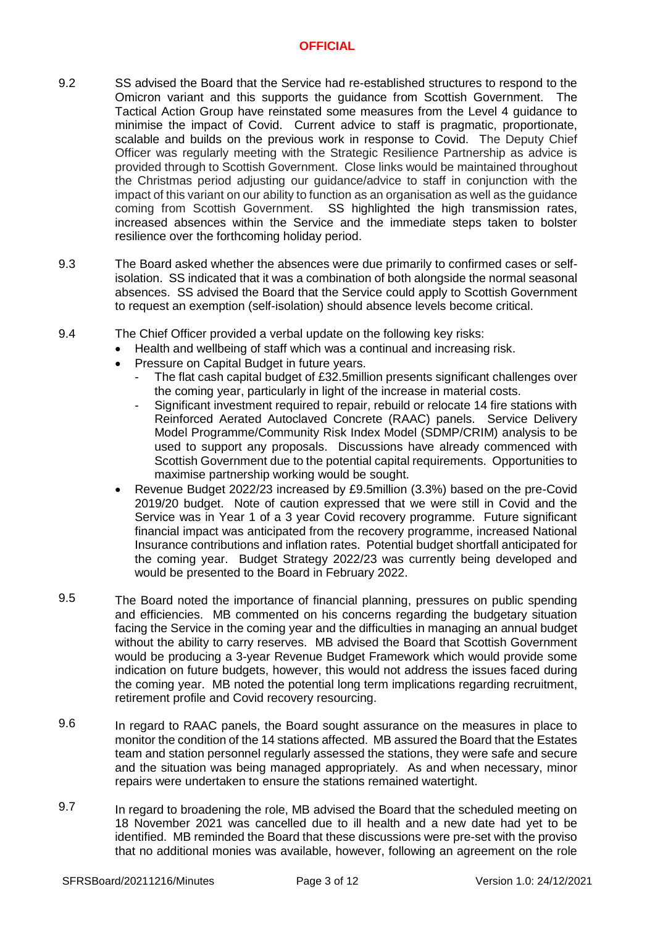- 9.2 SS advised the Board that the Service had re-established structures to respond to the Omicron variant and this supports the guidance from Scottish Government. The Tactical Action Group have reinstated some measures from the Level 4 guidance to minimise the impact of Covid. Current advice to staff is pragmatic, proportionate, scalable and builds on the previous work in response to Covid. The Deputy Chief Officer was regularly meeting with the Strategic Resilience Partnership as advice is provided through to Scottish Government. Close links would be maintained throughout the Christmas period adjusting our guidance/advice to staff in conjunction with the impact of this variant on our ability to function as an organisation as well as the guidance coming from Scottish Government. SS highlighted the high transmission rates, increased absences within the Service and the immediate steps taken to bolster resilience over the forthcoming holiday period.
- 9.3 The Board asked whether the absences were due primarily to confirmed cases or selfisolation. SS indicated that it was a combination of both alongside the normal seasonal absences. SS advised the Board that the Service could apply to Scottish Government to request an exemption (self-isolation) should absence levels become critical.
- 9.4 The Chief Officer provided a verbal update on the following key risks:
	- Health and wellbeing of staff which was a continual and increasing risk.
		- Pressure on Capital Budget in future years.
			- The flat cash capital budget of £32.5million presents significant challenges over the coming year, particularly in light of the increase in material costs.
			- Significant investment required to repair, rebuild or relocate 14 fire stations with Reinforced Aerated Autoclaved Concrete (RAAC) panels. Service Delivery Model Programme/Community Risk Index Model (SDMP/CRIM) analysis to be used to support any proposals. Discussions have already commenced with Scottish Government due to the potential capital requirements. Opportunities to maximise partnership working would be sought.
	- Revenue Budget 2022/23 increased by £9.5million (3.3%) based on the pre-Covid 2019/20 budget. Note of caution expressed that we were still in Covid and the Service was in Year 1 of a 3 year Covid recovery programme. Future significant financial impact was anticipated from the recovery programme, increased National Insurance contributions and inflation rates. Potential budget shortfall anticipated for the coming year. Budget Strategy 2022/23 was currently being developed and would be presented to the Board in February 2022.
- 9.5 The Board noted the importance of financial planning, pressures on public spending and efficiencies. MB commented on his concerns regarding the budgetary situation facing the Service in the coming year and the difficulties in managing an annual budget without the ability to carry reserves. MB advised the Board that Scottish Government would be producing a 3-year Revenue Budget Framework which would provide some indication on future budgets, however, this would not address the issues faced during the coming year. MB noted the potential long term implications regarding recruitment, retirement profile and Covid recovery resourcing.
- 9.6 In regard to RAAC panels, the Board sought assurance on the measures in place to monitor the condition of the 14 stations affected. MB assured the Board that the Estates team and station personnel regularly assessed the stations, they were safe and secure and the situation was being managed appropriately. As and when necessary, minor repairs were undertaken to ensure the stations remained watertight.
- 9.7 In regard to broadening the role, MB advised the Board that the scheduled meeting on 18 November 2021 was cancelled due to ill health and a new date had yet to be identified. MB reminded the Board that these discussions were pre-set with the proviso that no additional monies was available, however, following an agreement on the role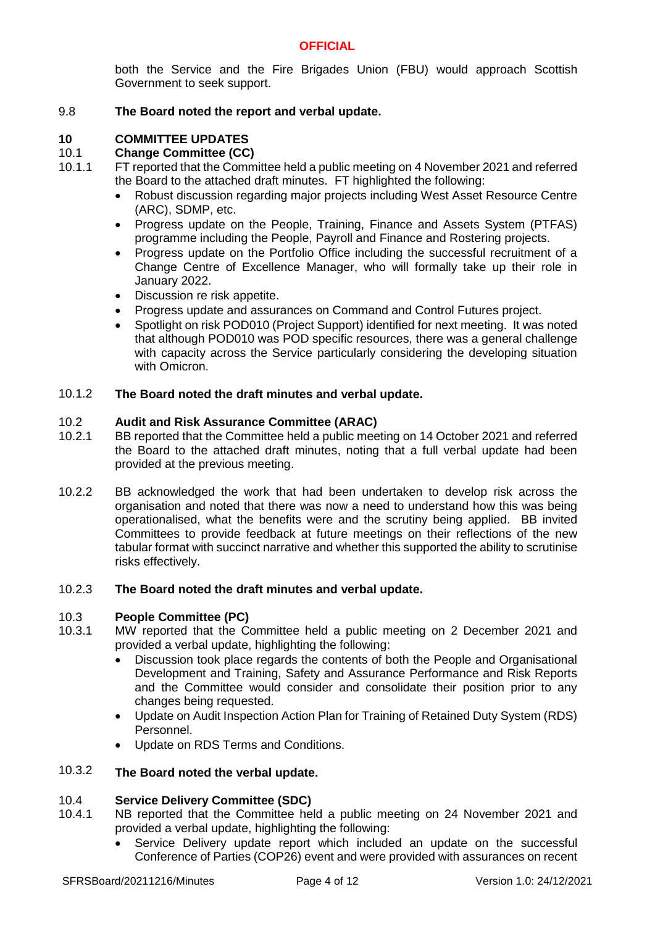both the Service and the Fire Brigades Union (FBU) would approach Scottish Government to seek support.

#### 9.8 **The Board noted the report and verbal update.**

# **10 COMMITTEE UPDATES**

#### 10.1 **Change Committee (CC)**

- 10.1.1 FT reported that the Committee held a public meeting on 4 November 2021 and referred the Board to the attached draft minutes. FT highlighted the following:
	- Robust discussion regarding major projects including West Asset Resource Centre (ARC), SDMP, etc.
	- Progress update on the People, Training, Finance and Assets System (PTFAS) programme including the People, Payroll and Finance and Rostering projects.
	- Progress update on the Portfolio Office including the successful recruitment of a Change Centre of Excellence Manager, who will formally take up their role in January 2022.
	- Discussion re risk appetite.
	- Progress update and assurances on Command and Control Futures project.
	- Spotlight on risk POD010 (Project Support) identified for next meeting. It was noted that although POD010 was POD specific resources, there was a general challenge with capacity across the Service particularly considering the developing situation with Omicron.

#### 10.1.2 **The Board noted the draft minutes and verbal update.**

#### 10.2 **Audit and Risk Assurance Committee (ARAC)**

- 10.2.1 BB reported that the Committee held a public meeting on 14 October 2021 and referred the Board to the attached draft minutes, noting that a full verbal update had been provided at the previous meeting.
- 10.2.2 BB acknowledged the work that had been undertaken to develop risk across the organisation and noted that there was now a need to understand how this was being operationalised, what the benefits were and the scrutiny being applied. BB invited Committees to provide feedback at future meetings on their reflections of the new tabular format with succinct narrative and whether this supported the ability to scrutinise risks effectively.

#### 10.2.3 **The Board noted the draft minutes and verbal update.**

#### 10.3 **People Committee (PC)**

- 10.3.1 MW reported that the Committee held a public meeting on 2 December 2021 and provided a verbal update, highlighting the following:
	- Discussion took place regards the contents of both the People and Organisational Development and Training, Safety and Assurance Performance and Risk Reports and the Committee would consider and consolidate their position prior to any changes being requested.
	- Update on Audit Inspection Action Plan for Training of Retained Duty System (RDS) Personnel.
	- Update on RDS Terms and Conditions.

### 10.3.2 **The Board noted the verbal update.**

#### 10.4 **Service Delivery Committee (SDC)**

- 10.4.1 NB reported that the Committee held a public meeting on 24 November 2021 and provided a verbal update, highlighting the following:
	- Service Delivery update report which included an update on the successful Conference of Parties (COP26) event and were provided with assurances on recent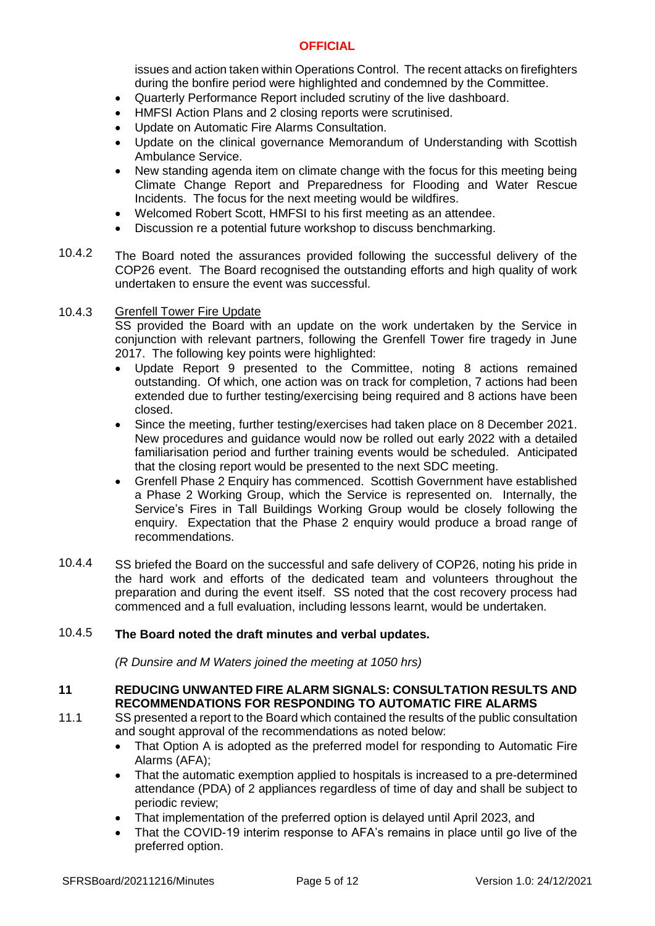issues and action taken within Operations Control. The recent attacks on firefighters during the bonfire period were highlighted and condemned by the Committee.

- Quarterly Performance Report included scrutiny of the live dashboard.
- HMFSI Action Plans and 2 closing reports were scrutinised.
- Update on Automatic Fire Alarms Consultation.
- Update on the clinical governance Memorandum of Understanding with Scottish Ambulance Service.
- New standing agenda item on climate change with the focus for this meeting being Climate Change Report and Preparedness for Flooding and Water Rescue Incidents. The focus for the next meeting would be wildfires.
- Welcomed Robert Scott, HMFSI to his first meeting as an attendee.
- Discussion re a potential future workshop to discuss benchmarking.
- 10.4.2 The Board noted the assurances provided following the successful delivery of the COP26 event. The Board recognised the outstanding efforts and high quality of work undertaken to ensure the event was successful.

#### 10.4.3 Grenfell Tower Fire Update

SS provided the Board with an update on the work undertaken by the Service in conjunction with relevant partners, following the Grenfell Tower fire tragedy in June 2017. The following key points were highlighted:

- Update Report 9 presented to the Committee, noting 8 actions remained outstanding. Of which, one action was on track for completion, 7 actions had been extended due to further testing/exercising being required and 8 actions have been closed.
- Since the meeting, further testing/exercises had taken place on 8 December 2021. New procedures and guidance would now be rolled out early 2022 with a detailed familiarisation period and further training events would be scheduled. Anticipated that the closing report would be presented to the next SDC meeting.
- Grenfell Phase 2 Enquiry has commenced. Scottish Government have established a Phase 2 Working Group, which the Service is represented on. Internally, the Service's Fires in Tall Buildings Working Group would be closely following the enquiry. Expectation that the Phase 2 enquiry would produce a broad range of recommendations.
- 10.4.4 SS briefed the Board on the successful and safe delivery of COP26, noting his pride in the hard work and efforts of the dedicated team and volunteers throughout the preparation and during the event itself. SS noted that the cost recovery process had commenced and a full evaluation, including lessons learnt, would be undertaken.

#### 10.4.5 **The Board noted the draft minutes and verbal updates.**

*(R Dunsire and M Waters joined the meeting at 1050 hrs)*

### **11 REDUCING UNWANTED FIRE ALARM SIGNALS: CONSULTATION RESULTS AND RECOMMENDATIONS FOR RESPONDING TO AUTOMATIC FIRE ALARMS**

- 11.1 SS presented a report to the Board which contained the results of the public consultation and sought approval of the recommendations as noted below:
	- That Option A is adopted as the preferred model for responding to Automatic Fire Alarms (AFA);
	- That the automatic exemption applied to hospitals is increased to a pre-determined attendance (PDA) of 2 appliances regardless of time of day and shall be subject to periodic review;
	- That implementation of the preferred option is delayed until April 2023, and
	- That the COVID-19 interim response to AFA's remains in place until go live of the preferred option.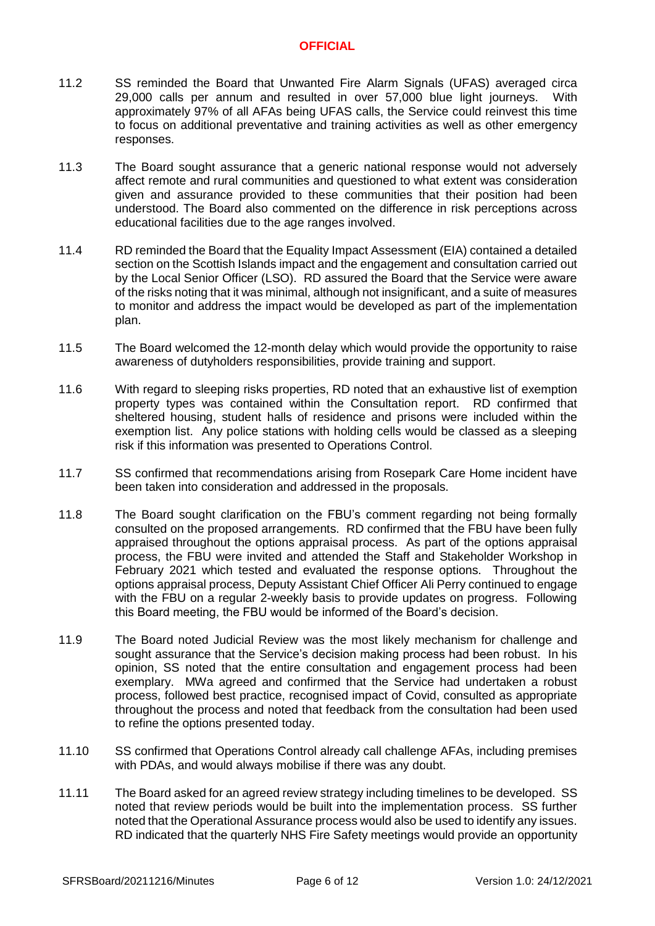- 11.2 SS reminded the Board that Unwanted Fire Alarm Signals (UFAS) averaged circa 29,000 calls per annum and resulted in over 57,000 blue light journeys. With approximately 97% of all AFAs being UFAS calls, the Service could reinvest this time to focus on additional preventative and training activities as well as other emergency responses.
- 11.3 The Board sought assurance that a generic national response would not adversely affect remote and rural communities and questioned to what extent was consideration given and assurance provided to these communities that their position had been understood. The Board also commented on the difference in risk perceptions across educational facilities due to the age ranges involved.
- 11.4 RD reminded the Board that the Equality Impact Assessment (EIA) contained a detailed section on the Scottish Islands impact and the engagement and consultation carried out by the Local Senior Officer (LSO). RD assured the Board that the Service were aware of the risks noting that it was minimal, although not insignificant, and a suite of measures to monitor and address the impact would be developed as part of the implementation plan.
- 11.5 The Board welcomed the 12-month delay which would provide the opportunity to raise awareness of dutyholders responsibilities, provide training and support.
- 11.6 With regard to sleeping risks properties, RD noted that an exhaustive list of exemption property types was contained within the Consultation report. RD confirmed that sheltered housing, student halls of residence and prisons were included within the exemption list. Any police stations with holding cells would be classed as a sleeping risk if this information was presented to Operations Control.
- 11.7 SS confirmed that recommendations arising from Rosepark Care Home incident have been taken into consideration and addressed in the proposals.
- 11.8 The Board sought clarification on the FBU's comment regarding not being formally consulted on the proposed arrangements. RD confirmed that the FBU have been fully appraised throughout the options appraisal process. As part of the options appraisal process, the FBU were invited and attended the Staff and Stakeholder Workshop in February 2021 which tested and evaluated the response options. Throughout the options appraisal process, Deputy Assistant Chief Officer Ali Perry continued to engage with the FBU on a regular 2-weekly basis to provide updates on progress. Following this Board meeting, the FBU would be informed of the Board's decision.
- 11.9 The Board noted Judicial Review was the most likely mechanism for challenge and sought assurance that the Service's decision making process had been robust. In his opinion, SS noted that the entire consultation and engagement process had been exemplary. MWa agreed and confirmed that the Service had undertaken a robust process, followed best practice, recognised impact of Covid, consulted as appropriate throughout the process and noted that feedback from the consultation had been used to refine the options presented today.
- 11.10 SS confirmed that Operations Control already call challenge AFAs, including premises with PDAs, and would always mobilise if there was any doubt.
- 11.11 The Board asked for an agreed review strategy including timelines to be developed. SS noted that review periods would be built into the implementation process. SS further noted that the Operational Assurance process would also be used to identify any issues. RD indicated that the quarterly NHS Fire Safety meetings would provide an opportunity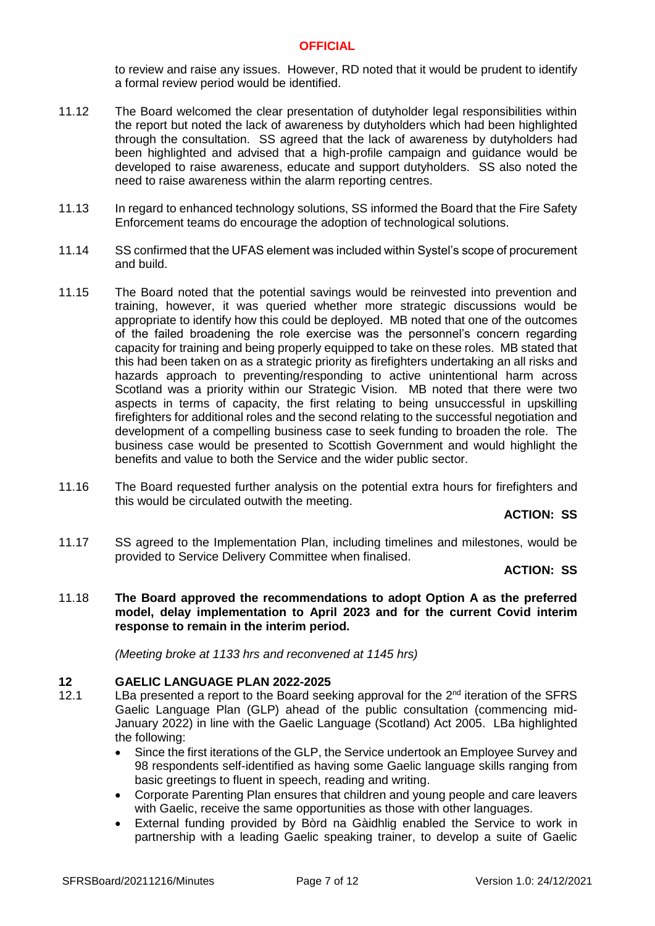to review and raise any issues. However, RD noted that it would be prudent to identify a formal review period would be identified.

- 11.12 The Board welcomed the clear presentation of dutyholder legal responsibilities within the report but noted the lack of awareness by dutyholders which had been highlighted through the consultation. SS agreed that the lack of awareness by dutyholders had been highlighted and advised that a high-profile campaign and guidance would be developed to raise awareness, educate and support dutyholders. SS also noted the need to raise awareness within the alarm reporting centres.
- 11.13 In regard to enhanced technology solutions, SS informed the Board that the Fire Safety Enforcement teams do encourage the adoption of technological solutions.
- 11.14 SS confirmed that the UFAS element was included within Systel's scope of procurement and build.
- 11.15 The Board noted that the potential savings would be reinvested into prevention and training, however, it was queried whether more strategic discussions would be appropriate to identify how this could be deployed. MB noted that one of the outcomes of the failed broadening the role exercise was the personnel's concern regarding capacity for training and being properly equipped to take on these roles. MB stated that this had been taken on as a strategic priority as firefighters undertaking an all risks and hazards approach to preventing/responding to active unintentional harm across Scotland was a priority within our Strategic Vision. MB noted that there were two aspects in terms of capacity, the first relating to being unsuccessful in upskilling firefighters for additional roles and the second relating to the successful negotiation and development of a compelling business case to seek funding to broaden the role. The business case would be presented to Scottish Government and would highlight the benefits and value to both the Service and the wider public sector.
- 11.16 The Board requested further analysis on the potential extra hours for firefighters and this would be circulated outwith the meeting.

**ACTION: SS**

11.17 SS agreed to the Implementation Plan, including timelines and milestones, would be provided to Service Delivery Committee when finalised.

**ACTION: SS**

11.18 **The Board approved the recommendations to adopt Option A as the preferred model, delay implementation to April 2023 and for the current Covid interim response to remain in the interim period.** 

*(Meeting broke at 1133 hrs and reconvened at 1145 hrs)*

### **12 GAELIC LANGUAGE PLAN 2022-2025**

- 12.1 LBa presented a report to the Board seeking approval for the  $2<sup>nd</sup>$  iteration of the SFRS Gaelic Language Plan (GLP) ahead of the public consultation (commencing mid-January 2022) in line with the Gaelic Language (Scotland) Act 2005. LBa highlighted the following:
	- Since the first iterations of the GLP, the Service undertook an Employee Survey and 98 respondents self-identified as having some Gaelic language skills ranging from basic greetings to fluent in speech, reading and writing.
	- Corporate Parenting Plan ensures that children and young people and care leavers with Gaelic, receive the same opportunities as those with other languages.
	- External funding provided by Bòrd na Gàidhlig enabled the Service to work in partnership with a leading Gaelic speaking trainer, to develop a suite of Gaelic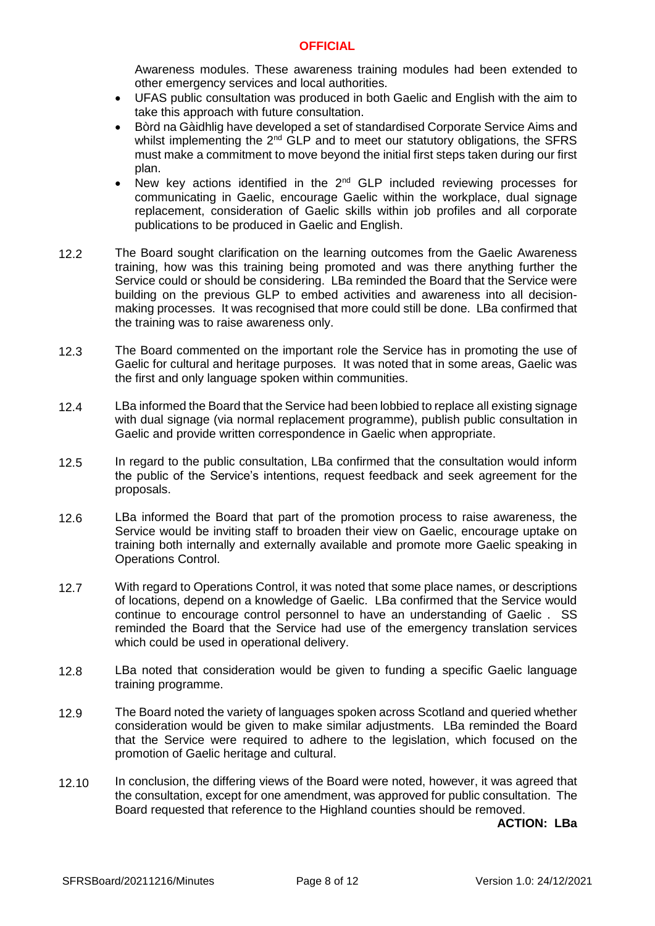Awareness modules. These awareness training modules had been extended to other emergency services and local authorities.

- UFAS public consultation was produced in both Gaelic and English with the aim to take this approach with future consultation.
- Bòrd na Gàidhlig have developed a set of standardised Corporate Service Aims and whilst implementing the  $2^{nd}$  GLP and to meet our statutory obligations, the SFRS must make a commitment to move beyond the initial first steps taken during our first plan.
- New key actions identified in the  $2<sup>nd</sup>$  GLP included reviewing processes for communicating in Gaelic, encourage Gaelic within the workplace, dual signage replacement, consideration of Gaelic skills within job profiles and all corporate publications to be produced in Gaelic and English.
- 12.2 The Board sought clarification on the learning outcomes from the Gaelic Awareness training, how was this training being promoted and was there anything further the Service could or should be considering. LBa reminded the Board that the Service were building on the previous GLP to embed activities and awareness into all decisionmaking processes. It was recognised that more could still be done. LBa confirmed that the training was to raise awareness only.
- 12.3 The Board commented on the important role the Service has in promoting the use of Gaelic for cultural and heritage purposes. It was noted that in some areas, Gaelic was the first and only language spoken within communities.
- 12.4 LBa informed the Board that the Service had been lobbied to replace all existing signage with dual signage (via normal replacement programme), publish public consultation in Gaelic and provide written correspondence in Gaelic when appropriate.
- 12.5 In regard to the public consultation, LBa confirmed that the consultation would inform the public of the Service's intentions, request feedback and seek agreement for the proposals.
- 12.6 LBa informed the Board that part of the promotion process to raise awareness, the Service would be inviting staff to broaden their view on Gaelic, encourage uptake on training both internally and externally available and promote more Gaelic speaking in Operations Control.
- 12.7 With regard to Operations Control, it was noted that some place names, or descriptions of locations, depend on a knowledge of Gaelic. LBa confirmed that the Service would continue to encourage control personnel to have an understanding of Gaelic . SS reminded the Board that the Service had use of the emergency translation services which could be used in operational delivery.
- 12.8 LBa noted that consideration would be given to funding a specific Gaelic language training programme.
- 12.9 The Board noted the variety of languages spoken across Scotland and queried whether consideration would be given to make similar adjustments. LBa reminded the Board that the Service were required to adhere to the legislation, which focused on the promotion of Gaelic heritage and cultural.
- 12.10 In conclusion, the differing views of the Board were noted, however, it was agreed that the consultation, except for one amendment, was approved for public consultation. The Board requested that reference to the Highland counties should be removed.

**ACTION: LBa**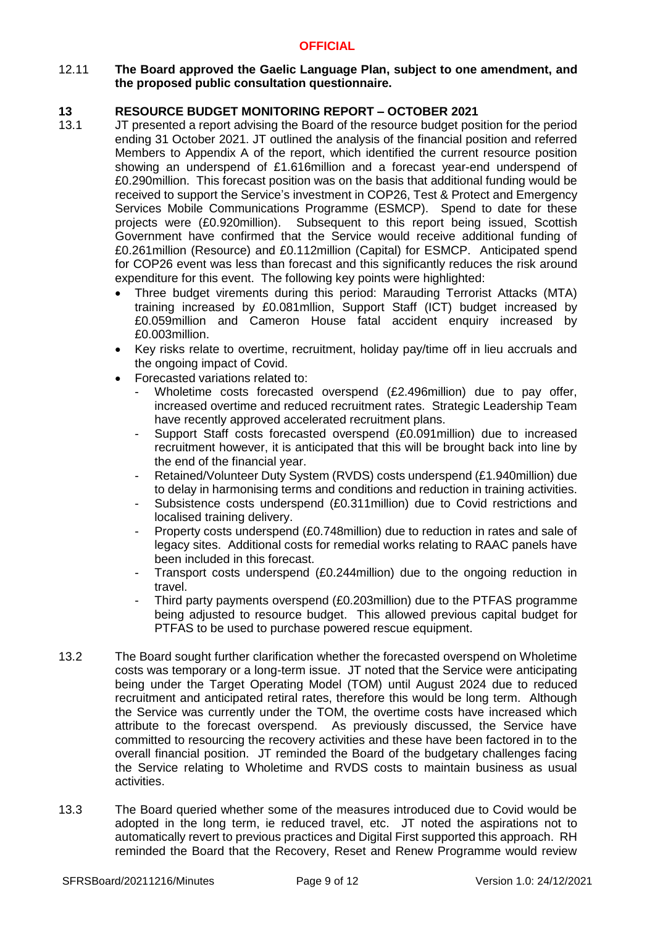## 12.11 **The Board approved the Gaelic Language Plan, subject to one amendment, and the proposed public consultation questionnaire.**

# **13 RESOURCE BUDGET MONITORING REPORT – OCTOBER 2021**

- 13.1 JT presented a report advising the Board of the resource budget position for the period ending 31 October 2021. JT outlined the analysis of the financial position and referred Members to Appendix A of the report, which identified the current resource position showing an underspend of £1.616million and a forecast year-end underspend of £0.290million. This forecast position was on the basis that additional funding would be received to support the Service's investment in COP26, Test & Protect and Emergency Services Mobile Communications Programme (ESMCP). Spend to date for these projects were (£0.920million). Subsequent to this report being issued, Scottish Government have confirmed that the Service would receive additional funding of £0.261million (Resource) and £0.112million (Capital) for ESMCP. Anticipated spend for COP26 event was less than forecast and this significantly reduces the risk around expenditure for this event. The following key points were highlighted:
	- Three budget virements during this period: Marauding Terrorist Attacks (MTA) training increased by £0.081mllion, Support Staff (ICT) budget increased by £0.059million and Cameron House fatal accident enquiry increased by £0.003million.
	- Key risks relate to overtime, recruitment, holiday pay/time off in lieu accruals and the ongoing impact of Covid.
	- Forecasted variations related to:
		- Wholetime costs forecasted overspend (£2.496million) due to pay offer, increased overtime and reduced recruitment rates. Strategic Leadership Team have recently approved accelerated recruitment plans.
		- Support Staff costs forecasted overspend (£0.091million) due to increased recruitment however, it is anticipated that this will be brought back into line by the end of the financial year.
		- Retained/Volunteer Duty System (RVDS) costs underspend (£1.940million) due to delay in harmonising terms and conditions and reduction in training activities.
		- Subsistence costs underspend (£0.311 million) due to Covid restrictions and localised training delivery.
		- Property costs underspend (£0.748million) due to reduction in rates and sale of legacy sites. Additional costs for remedial works relating to RAAC panels have been included in this forecast.
		- Transport costs underspend (£0.244million) due to the ongoing reduction in travel.
		- Third party payments overspend (£0.203million) due to the PTFAS programme being adjusted to resource budget. This allowed previous capital budget for PTFAS to be used to purchase powered rescue equipment.
- 13.2 The Board sought further clarification whether the forecasted overspend on Wholetime costs was temporary or a long-term issue. JT noted that the Service were anticipating being under the Target Operating Model (TOM) until August 2024 due to reduced recruitment and anticipated retiral rates, therefore this would be long term. Although the Service was currently under the TOM, the overtime costs have increased which attribute to the forecast overspend. As previously discussed, the Service have committed to resourcing the recovery activities and these have been factored in to the overall financial position. JT reminded the Board of the budgetary challenges facing the Service relating to Wholetime and RVDS costs to maintain business as usual activities.
- 13.3 The Board queried whether some of the measures introduced due to Covid would be adopted in the long term, ie reduced travel, etc. JT noted the aspirations not to automatically revert to previous practices and Digital First supported this approach. RH reminded the Board that the Recovery, Reset and Renew Programme would review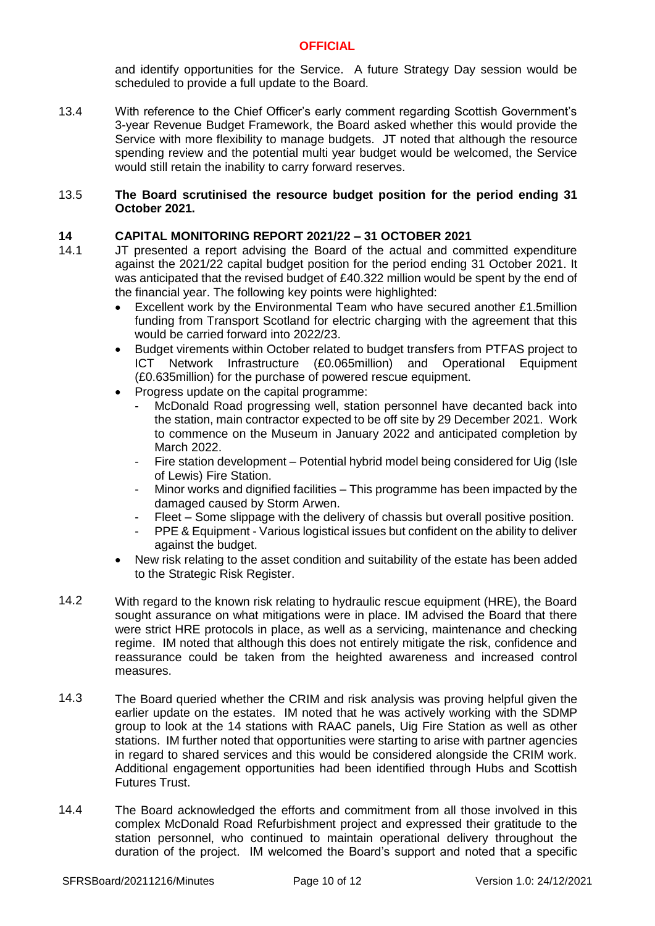and identify opportunities for the Service. A future Strategy Day session would be scheduled to provide a full update to the Board.

13.4 With reference to the Chief Officer's early comment regarding Scottish Government's 3-year Revenue Budget Framework, the Board asked whether this would provide the Service with more flexibility to manage budgets. JT noted that although the resource spending review and the potential multi year budget would be welcomed, the Service would still retain the inability to carry forward reserves.

### 13.5 **The Board scrutinised the resource budget position for the period ending 31 October 2021.**

# **14 CAPITAL MONITORING REPORT 2021/22 – 31 OCTOBER 2021**

- 14.1 JT presented a report advising the Board of the actual and committed expenditure against the 2021/22 capital budget position for the period ending 31 October 2021. It was anticipated that the revised budget of £40.322 million would be spent by the end of the financial year. The following key points were highlighted:
	- Excellent work by the Environmental Team who have secured another £1.5million funding from Transport Scotland for electric charging with the agreement that this would be carried forward into 2022/23.
	- Budget virements within October related to budget transfers from PTFAS project to ICT Network Infrastructure (£0.065million) and Operational Equipment (£0.635million) for the purchase of powered rescue equipment.
	- Progress update on the capital programme:
		- McDonald Road progressing well, station personnel have decanted back into the station, main contractor expected to be off site by 29 December 2021. Work to commence on the Museum in January 2022 and anticipated completion by March 2022.
		- Fire station development Potential hybrid model being considered for Uig (Isle of Lewis) Fire Station.
		- Minor works and dignified facilities This programme has been impacted by the damaged caused by Storm Arwen.
		- Fleet Some slippage with the delivery of chassis but overall positive position.
		- PPE & Equipment Various logistical issues but confident on the ability to deliver against the budget.
	- New risk relating to the asset condition and suitability of the estate has been added to the Strategic Risk Register.
- 14.2 With regard to the known risk relating to hydraulic rescue equipment (HRE), the Board sought assurance on what mitigations were in place. IM advised the Board that there were strict HRE protocols in place, as well as a servicing, maintenance and checking regime. IM noted that although this does not entirely mitigate the risk, confidence and reassurance could be taken from the heighted awareness and increased control measures.
- 14.3 The Board queried whether the CRIM and risk analysis was proving helpful given the earlier update on the estates. IM noted that he was actively working with the SDMP group to look at the 14 stations with RAAC panels, Uig Fire Station as well as other stations. IM further noted that opportunities were starting to arise with partner agencies in regard to shared services and this would be considered alongside the CRIM work. Additional engagement opportunities had been identified through Hubs and Scottish Futures Trust.
- 14.4 The Board acknowledged the efforts and commitment from all those involved in this complex McDonald Road Refurbishment project and expressed their gratitude to the station personnel, who continued to maintain operational delivery throughout the duration of the project. IM welcomed the Board's support and noted that a specific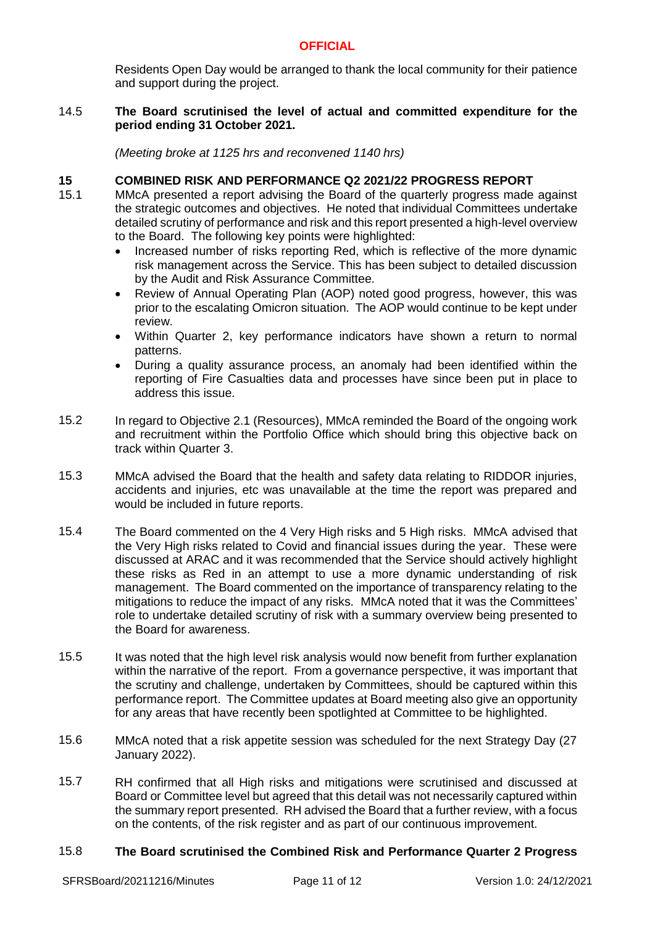Residents Open Day would be arranged to thank the local community for their patience and support during the project.

### 14.5 **The Board scrutinised the level of actual and committed expenditure for the period ending 31 October 2021.**

*(Meeting broke at 1125 hrs and reconvened 1140 hrs)*

# **15 COMBINED RISK AND PERFORMANCE Q2 2021/22 PROGRESS REPORT**

- 15.1 MMcA presented a report advising the Board of the quarterly progress made against the strategic outcomes and objectives. He noted that individual Committees undertake detailed scrutiny of performance and risk and this report presented a high-level overview to the Board. The following key points were highlighted:
	- Increased number of risks reporting Red, which is reflective of the more dynamic risk management across the Service. This has been subject to detailed discussion by the Audit and Risk Assurance Committee.
	- Review of Annual Operating Plan (AOP) noted good progress, however, this was prior to the escalating Omicron situation. The AOP would continue to be kept under review.
	- Within Quarter 2, key performance indicators have shown a return to normal patterns.
	- During a quality assurance process, an anomaly had been identified within the reporting of Fire Casualties data and processes have since been put in place to address this issue.
- 15.2 In regard to Objective 2.1 (Resources), MMcA reminded the Board of the ongoing work and recruitment within the Portfolio Office which should bring this objective back on track within Quarter 3.
- 15.3 MMcA advised the Board that the health and safety data relating to RIDDOR injuries, accidents and injuries, etc was unavailable at the time the report was prepared and would be included in future reports.
- 15.4 The Board commented on the 4 Very High risks and 5 High risks. MMcA advised that the Very High risks related to Covid and financial issues during the year. These were discussed at ARAC and it was recommended that the Service should actively highlight these risks as Red in an attempt to use a more dynamic understanding of risk management. The Board commented on the importance of transparency relating to the mitigations to reduce the impact of any risks. MMcA noted that it was the Committees' role to undertake detailed scrutiny of risk with a summary overview being presented to the Board for awareness.
- 15.5 It was noted that the high level risk analysis would now benefit from further explanation within the narrative of the report. From a governance perspective, it was important that the scrutiny and challenge, undertaken by Committees, should be captured within this performance report. The Committee updates at Board meeting also give an opportunity for any areas that have recently been spotlighted at Committee to be highlighted.
- 15.6 MMcA noted that a risk appetite session was scheduled for the next Strategy Day (27 January 2022).
- 15.7 RH confirmed that all High risks and mitigations were scrutinised and discussed at Board or Committee level but agreed that this detail was not necessarily captured within the summary report presented. RH advised the Board that a further review, with a focus on the contents, of the risk register and as part of our continuous improvement.

#### 15.8 **The Board scrutinised the Combined Risk and Performance Quarter 2 Progress**